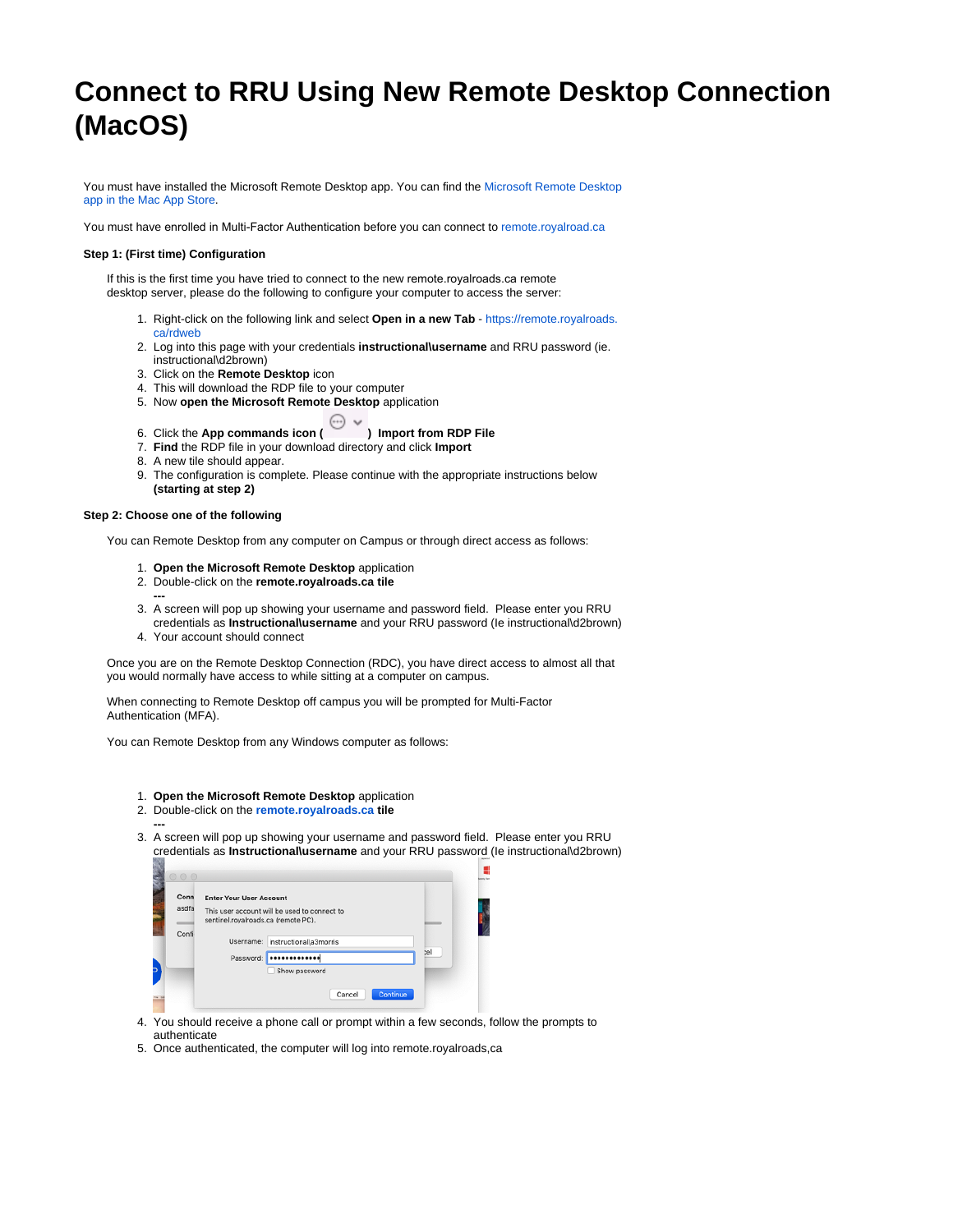# **Connect to RRU Using New Remote Desktop Connection (MacOS)**

You must have installed the Microsoft Remote Desktop app. You can find the Microsoft Remote Desktop [app in the Mac App Store](https://apps.apple.com/ca/app/microsoft-remote-desktop-10/id1295203466).

You must have enrolled in Multi-Factor Authentication before you can connect to [remote.royalroad.ca](http://remote.royalroad.ca)

### **Step 1: (First time) Configuration**

If this is the first time you have tried to connect to the new remote.royalroads.ca [remote](https://apps.apple.com/ca/app/microsoft-remote-desktop-10/id1295203466)  desktop server, please do the following to configure your computer to access the server:

- 1. Right-click on the following link and select **Open in a new Tab**  https://remote.royalroads. [ca/rdweb](https://remote.royalroads.ca/rdweb)
- 2. Log into this page with your credentials **instructional\username** and RRU password (ie. instructional\d2brown)
- 3. Click on the **Remote Desktop** icon
- 4. This will download the RDP file to your computer
- 5. Now **open the Microsoft Remote Desktop** application
	-

#### 6. Click the **App commands icon (CCCCC)** Import from RDP File

- 7. **Find** the RDP file in your download directory and click **Import**
- 8. A new tile should appear.
- 9. The configuration is complete. Please continue with the appropriate instructions below **(starting at step 2)**

#### **Step 2: Choose one of the following**

You can Remote Desktop from any computer on Campus or through direct access as follows:

- 1. **Open the Microsoft Remote Desktop** application
- 2. Double-click on the **remote.royalroads.ca tile**
- 3. A screen will pop up showing your username and password field. Please enter you RRU **---**
- 4. Your account should connect credentials as **Instructional\username** and your RRU password (Ie instructional\d2brown)

Once you are on the Remote Desktop Connection (RDC), you have direct access to almost all that you would normally have access to while sitting at a computer on campus.

When connecting to Remote Desktop off campus you will be prompted for Multi-Factor Authentication (MFA).

You can Remote Desktop from any Windows computer as follows:

- 1. **Open the Microsoft Remote Desktop** application
- 2. Double-click on the **[remote.royalroads.ca](http://remote.royalroads.ca) tile**
- 3. A screen will pop up showing your username and password field. Please enter you RRU **--** credentials as **Instructional\username** and your RRU password (Ie instructional\d2brown)

| Conn<br>asdfa | <b>Enter Your User Account</b><br>This user account will be used to connect to<br>sentinel.royalroads.ca (remote PC). |                        |     |
|---------------|-----------------------------------------------------------------------------------------------------------------------|------------------------|-----|
|               |                                                                                                                       |                        |     |
| Confi         |                                                                                                                       |                        |     |
|               | Username:                                                                                                             | instructional\a3morris |     |
|               | Password:                                                                                                             |                        | :el |
|               |                                                                                                                       | Show password          |     |

- 4. You should receive a phone call or prompt within a few seconds, follow the prompts to authenticate
- 5. Once authenticated, the computer will log into remote.royalroads,ca